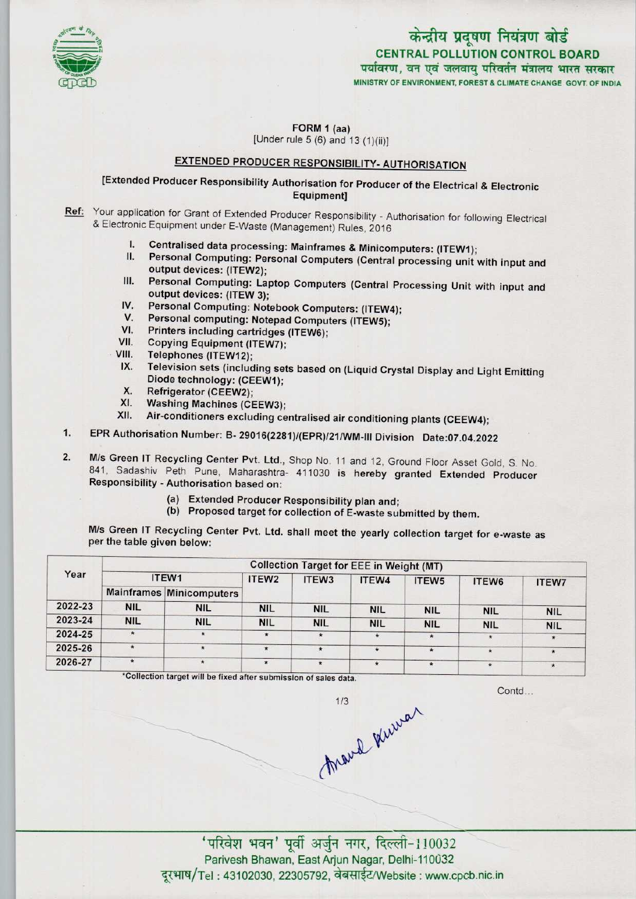

# केन्द्रीय प्रदूषण नियंत्रण बोर्ड

MINISTRY OF ENVIRONMENT, FOREST & CLIMATE CHANGE GOVT, OF INDIA CENTRAL POLLUTION CONTROL BOARD<br>पर्यावरण, वन एवं जलवाय परिवर्तन मंत्रालय भारत सरकार

FORM 1 (aa) [Under rule  $5(6)$  and  $13(1)(ii)$ ]

## EXTENDED PRODUCER RESPONSIBILITY- AUTHORISATION

[Extended Producer Responsibility Authorisation for Producer of the Electrical & Electronic Equipment]

Ref: Your application for Grant of Extended Producer Responsibility - Authorisation for following Electrical & Electronic Equipment under E-Waste (Management) Rules, 2016

- I. Centralised data processing: Mainframes & Minicomputers: (ITEW1);<br>II. Personal Computing: Personal Computers (Captaching)
- Personal Computing: Personal Computers (Central processing unit with input and output devices: (ITEW2);
- III. Personal Computing: Laptop Computers (Central Processing Unit with input and output devices: (ITEW 3); III. Personal Computing: Laptop Computers (Central Protection)<br>
IV. Personal Computing: Notebook Computers: (ITEW4);<br>
V. Personal Computing: Notebook Computers: (ITEW4);
- output devices: (ITEW 3);<br>V. Personal Computing: Notebook Computers: (ITEW<br>V. Personal computing: Notepad Computers (ITEW5); IV. Personal Computing: Notebook Computers: (ITEW4<br>V. Personal computing: Notepad Computers (ITEW5);<br>VI. Printers including cartridges (ITEW6);
- 
- 
- VII. Copying Equipment (ITEW7);
- VIII. Telephones (ITEW12);
- $IX.$ Television sets (including sets based on (Liquid Crystal Display and Light Emitting Diode technology: (CEEW1);
- X. Refrigerator (CEEW2);<br>XI. Washing Machines (CF
- XI. Washing Machines (CEEW3);<br>XII. Air-conditioners excluding ce
- Air-conditioners excluding centralised air conditioning plants (CEEW4);
- 1. Washing Machines (CEEW3);<br>1. Kll. Air-conditioners excluding centralised air conditioning plants (CEEW4);<br>1. EPR Authorisation Number: B- 29016(2281)/(EPR)/21/WM-III Division Date:07.04.2022
- 2. EPR Authorisation Number: B- 29016(2281)/(EPR)/21/WM-III Division Date:07.04.2022<br>2. M/s Green IT Recycling Center Pvt. Ltd., Shop No. 11 and 12, Ground Floor Asset Gold, S. No. 841. Sadashiv. Peth. Pune. Maharaghtra. 4 M/s Green IT Recycling Center Pvt. Ltd., Shop No. 11 and 12, Ground Floor Asset Gold, S. No.<br>841, Sadashiv Peth Pune, Maharashtra- 411030 is hereby granted Extended Producer Responsibility - Authorisation based on:
	- (a)Extended Producer Responsibility plan and;
	- (b) Proposed target for collection of E-waste submitted by them.

M/s Green IT Recycling Center Pvt. Ltd. shall meet the yearly collection target for e-waste as per the table given below:

| Year    | <b>Collection Target for EEE in Weight (MT)</b> |                                 |                   |                   |            |                   |            |            |  |  |
|---------|-------------------------------------------------|---------------------------------|-------------------|-------------------|------------|-------------------|------------|------------|--|--|
|         | ITEW1                                           |                                 | ITEW <sub>2</sub> | ITEW <sub>3</sub> | ITEW4      | ITEW <sub>5</sub> | ITEW6      | ITEW7      |  |  |
|         |                                                 | <b>Mainframes Minicomputers</b> |                   |                   |            |                   |            |            |  |  |
| 2022-23 | <b>NIL</b>                                      | <b>NIL</b>                      | <b>NIL</b>        | <b>NIL</b>        | <b>NIL</b> | <b>NIL</b>        | <b>NIL</b> | <b>NIL</b> |  |  |
| 2023-24 | <b>NIL</b>                                      | <b>NIL</b>                      | <b>NIL</b>        | <b>NIL</b>        | <b>NIL</b> | <b>NIL</b>        | <b>NIL</b> | <b>NIL</b> |  |  |
| 2024-25 | *                                               | $\star$                         | $\star$           |                   |            | $\star$           |            | $\star$    |  |  |
| 2025-26 | $\bullet$                                       |                                 | $\star$           | $\star$           | $\star$    | $\star$           | $\star$    | $\star$    |  |  |
| 2026-27 | $\star$                                         |                                 | $\star$           | $\star$           | $\star$    | $\star$           |            |            |  |  |

\*Collection target will be fixed after submission of sales data.

Contd

March Kinner  $1/3$ 

' परिवेश भवन' पूर्वी अर्जुन नगर, दिल्ली-110032 Parivesh Bhawan, East Arjun Nagar, Delhi-110032 दूरभाष/Tel: 43102030, 22305792, वेबसाईट/Website : www.cpcb.nic.in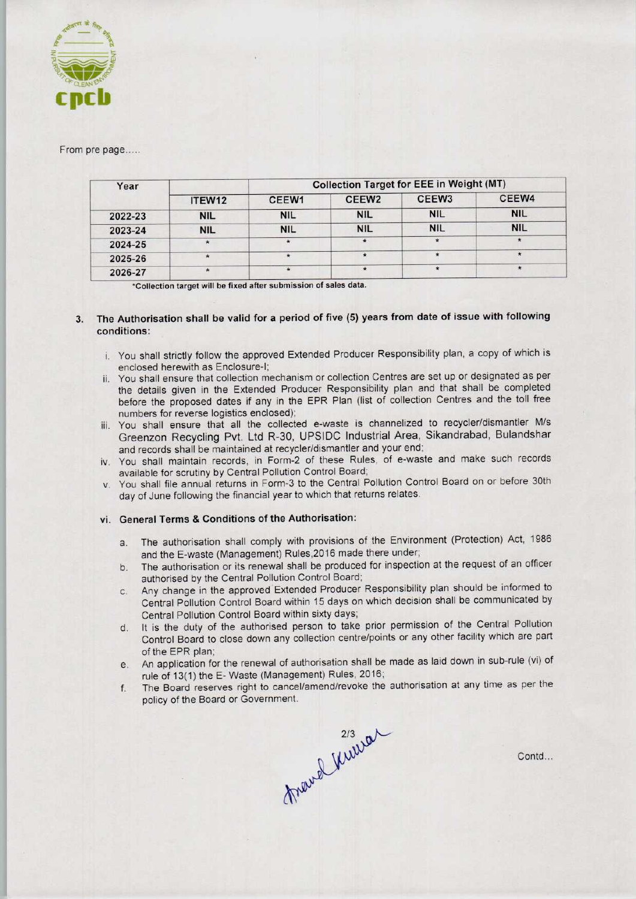

### From pre page.....

| Year    |            | <b>Collection Target for EEE in Weight (MT)</b> |                   |                   |            |  |  |
|---------|------------|-------------------------------------------------|-------------------|-------------------|------------|--|--|
|         | ITEW12     | CEEW1                                           | CEEW <sub>2</sub> | CEEW <sub>3</sub> | CEEW4      |  |  |
| 2022-23 | <b>NIL</b> | <b>NIL</b>                                      | <b>NIL</b>        | <b>NIL</b>        | <b>NIL</b> |  |  |
| 2023-24 | <b>NIL</b> | <b>NIL</b>                                      | <b>NIL</b>        | <b>NIL</b>        | <b>NIL</b> |  |  |
| 2024-25 |            |                                                 |                   | $\star$           |            |  |  |
| 2025-26 | $\star$    |                                                 |                   |                   |            |  |  |
| 2026-27 |            |                                                 | $\star$           |                   |            |  |  |

\*Collection target will be fixed after submission of sales data.

#### The Authorisation shall be valid for a period of five (5) years from date of issue with following  $\mathbf{3}$ conditions:

- i. You shall strictly follow the approved Extended Producer Responsibility plan, a copy of which is enclosed herewith as Enclosure-I;
- ii. You shall ensure that collection mechanism or collection Centres are set up or designated as per the details given in the Extended Producer Responsibility plan and that shall be completed before the proposed dates if any in the EPR Plan (list of collection Centres and the toll free numbers for reverse logistics enclosed);
- iii. You shall ensure that all the collected e-waste is channelized to recycler/dismantler M/s Greenzon Recycling Pvt. Ltd R-30, UPSIDC Industrial Area, Sikandrabad, Bulandshar and records shall be maintained at recycler/dismantler and your end;
- iv. You shall maintain records, in Form-2 of these Rules, of e-waste and make such records available for scrutiny by Central Pollution Control Board;
- v. You shall file annual returns in Form-3 to the Central Pollution Control Board on or before 30th day of June following the financial year to which that returns relates.

#### vi. General Terms & Conditions of the Authorisation:

- a. The authorisation shall comply with provisions of the Environment (Protection) Act, 1986 and the E-waste (Management) Rules,2016 made there under;
- b.The authorisation or its renewal shall be produced for inspection at the request of an officer authorised by the Central Pollution Control Board;
- c.Any change in the approved Extended Producer Responsibility plan should be informed to Central Pollution Control Board within 15 days on which decision shall be communicated by Central Pollution Control Board within sixty days;
- d. It is the duty of the authorised person to take prior permission of the Central Pollution Control Board to close down any collection centre/points or any other facility which are part of the EPR plan;
- e. An application for the renewal of authorisation shall be made as laid down in sub-rule (vi) of rule of 13(1) the E-Waste (Management) Rules, 2016;
- f.The Board reserves right to cancel/amend/revoke the authorisation at any time as per the

policy of the Board or Government.<br>
2/3<br>
0

Contd...